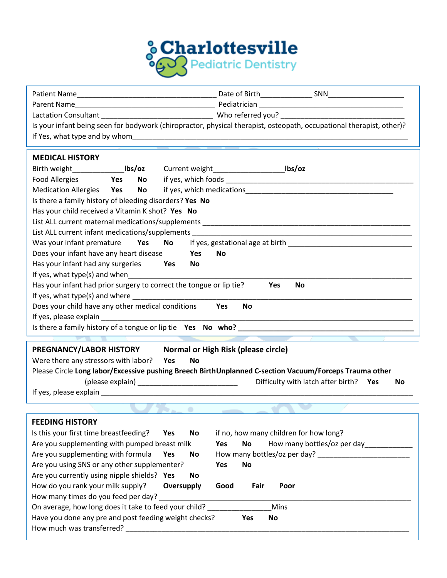

| Is your infant being seen for bodywork (chiropractor, physical therapist, osteopath, occupational therapist, other)?                                |                  |                  |                          |                                                                                                        |    |  |  |  |
|-----------------------------------------------------------------------------------------------------------------------------------------------------|------------------|------------------|--------------------------|--------------------------------------------------------------------------------------------------------|----|--|--|--|
|                                                                                                                                                     |                  |                  |                          |                                                                                                        |    |  |  |  |
|                                                                                                                                                     |                  |                  |                          |                                                                                                        |    |  |  |  |
| <b>MEDICAL HISTORY</b>                                                                                                                              |                  |                  |                          |                                                                                                        |    |  |  |  |
|                                                                                                                                                     |                  |                  |                          |                                                                                                        |    |  |  |  |
| Food Allergies                                                                                                                                      | <b>No</b><br>Yes |                  |                          |                                                                                                        |    |  |  |  |
| Medication Allergies Yes No                                                                                                                         |                  |                  |                          |                                                                                                        |    |  |  |  |
| Is there a family history of bleeding disorders? Yes No                                                                                             |                  |                  |                          |                                                                                                        |    |  |  |  |
| Has your child received a Vitamin K shot? Yes No                                                                                                    |                  |                  |                          |                                                                                                        |    |  |  |  |
|                                                                                                                                                     |                  |                  |                          |                                                                                                        |    |  |  |  |
|                                                                                                                                                     |                  |                  |                          |                                                                                                        |    |  |  |  |
| Was your infant premature Yes No<br>If yes, gestational age at birth Manual Assembly and the set of the set of the set of the set of the set of the |                  |                  |                          |                                                                                                        |    |  |  |  |
| Does your infant have any heart disease                                                                                                             |                  | Yes              | No                       |                                                                                                        |    |  |  |  |
| Has your infant had any surgeries Yes                                                                                                               |                  | No               |                          |                                                                                                        |    |  |  |  |
| If yes, what type(s) and when                                                                                                                       |                  |                  |                          |                                                                                                        |    |  |  |  |
| Has your infant had prior surgery to correct the tongue or lip tie?<br>Yes<br><b>No</b>                                                             |                  |                  |                          |                                                                                                        |    |  |  |  |
|                                                                                                                                                     |                  |                  |                          |                                                                                                        |    |  |  |  |
| Does your child have any other medical conditions Yes<br><b>No</b>                                                                                  |                  |                  |                          |                                                                                                        |    |  |  |  |
|                                                                                                                                                     |                  |                  |                          |                                                                                                        |    |  |  |  |
|                                                                                                                                                     |                  |                  |                          |                                                                                                        |    |  |  |  |
|                                                                                                                                                     |                  |                  |                          |                                                                                                        |    |  |  |  |
| PREGNANCY/LABOR HISTORY Normal or High Risk (please circle)                                                                                         |                  |                  |                          |                                                                                                        |    |  |  |  |
| Were there any stressors with labor? Yes                                                                                                            |                  | <b>No</b>        |                          |                                                                                                        |    |  |  |  |
|                                                                                                                                                     |                  |                  |                          | Please Circle Long labor/Excessive pushing Breech BirthUnplanned C-section Vacuum/Forceps Trauma other |    |  |  |  |
|                                                                                                                                                     |                  |                  |                          | Difficulty with latch after birth? Yes                                                                 | No |  |  |  |
|                                                                                                                                                     |                  |                  |                          |                                                                                                        |    |  |  |  |
|                                                                                                                                                     |                  |                  | $\overline{\phantom{a}}$ |                                                                                                        |    |  |  |  |
| <b>FEEDING HISTORY</b>                                                                                                                              |                  |                  |                          |                                                                                                        |    |  |  |  |
| Is this your first time breastfeeding?                                                                                                              |                  | <b>No</b><br>Yes |                          | if no, how many children for how long?                                                                 |    |  |  |  |
| Are you supplementing with pumped breast milk                                                                                                       |                  |                  | <b>No</b><br>Yes         | How many bottles/oz per day_____________                                                               |    |  |  |  |
| Are you supplementing with formula                                                                                                                  |                  | Yes<br>No        |                          |                                                                                                        |    |  |  |  |
| Are you using SNS or any other supplementer?                                                                                                        |                  |                  | Yes<br><b>No</b>         |                                                                                                        |    |  |  |  |
| Are you currently using nipple shields? Yes                                                                                                         |                  | No               |                          |                                                                                                        |    |  |  |  |
|                                                                                                                                                     |                  | Oversupply       | Good<br>Fair             | Poor                                                                                                   |    |  |  |  |
| How do you rank your milk supply?<br>How many times do you feed per day?                                                                            |                  |                  |                          |                                                                                                        |    |  |  |  |
| On average, how long does it take to feed your child? _<br>Mins                                                                                     |                  |                  |                          |                                                                                                        |    |  |  |  |
| Have you done any pre and post feeding weight checks?<br>Yes<br>No                                                                                  |                  |                  |                          |                                                                                                        |    |  |  |  |
| How much was transferred?                                                                                                                           |                  |                  |                          |                                                                                                        |    |  |  |  |
|                                                                                                                                                     |                  |                  |                          |                                                                                                        |    |  |  |  |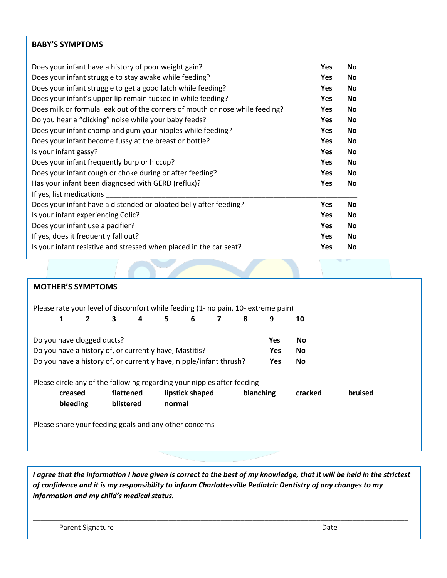## **BABY'S SYMPTOMS**

| Does your infant have a history of poor weight gain?                         | <b>Yes</b> | No        |
|------------------------------------------------------------------------------|------------|-----------|
| Does your infant struggle to stay awake while feeding?                       | <b>Yes</b> | No        |
| Does your infant struggle to get a good latch while feeding?                 | <b>Yes</b> | No        |
| Does your infant's upper lip remain tucked in while feeding?                 | <b>Yes</b> | No        |
| Does milk or formula leak out of the corners of mouth or nose while feeding? | <b>Yes</b> | <b>No</b> |
| Do you hear a "clicking" noise while your baby feeds?                        | <b>Yes</b> | No        |
| Does your infant chomp and gum your nipples while feeding?                   | <b>Yes</b> | No        |
| Does your infant become fussy at the breast or bottle?                       | <b>Yes</b> | <b>No</b> |
| Is your infant gassy?                                                        | <b>Yes</b> | No        |
| Does your infant frequently burp or hiccup?                                  | <b>Yes</b> | No        |
| Does your infant cough or choke during or after feeding?                     | <b>Yes</b> | No        |
| Has your infant been diagnosed with GERD (reflux)?                           | <b>Yes</b> | No        |
| If yes, list medications                                                     |            |           |
| Does your infant have a distended or bloated belly after feeding?            | <b>Yes</b> | No        |
| Is your infant experiencing Colic?                                           | <b>Yes</b> | No        |
| Does your infant use a pacifier?                                             | <b>Yes</b> | No        |
| If yes, does it frequently fall out?                                         | <b>Yes</b> | No        |
| Is your infant resistive and stressed when placed in the car seat?           | Yes        | No        |

## **MOTHER'S SYMPTOMS**

| Please rate your level of discomfort while feeding (1- no pain, 10- extreme pain)       |              |              |           |   |        |                 |   |           |   |         |         |
|-----------------------------------------------------------------------------------------|--------------|--------------|-----------|---|--------|-----------------|---|-----------|---|---------|---------|
|                                                                                         | $\mathbf{1}$ | $\mathbf{2}$ | 3         | 4 | 5.     | 6               | 7 | 8         | 9 | 10      |         |
| Do you have clogged ducts?<br><b>Yes</b><br><b>No</b>                                   |              |              |           |   |        |                 |   |           |   |         |         |
| Do you have a history of, or currently have, Mastitis?<br>No<br>Yes.                    |              |              |           |   |        |                 |   |           |   |         |         |
| Do you have a history of, or currently have, nipple/infant thrush?<br><b>Yes</b><br>No. |              |              |           |   |        |                 |   |           |   |         |         |
| Please circle any of the following regarding your nipples after feeding                 |              |              |           |   |        |                 |   |           |   |         |         |
|                                                                                         | creased      |              | flattened |   |        | lipstick shaped |   | blanching |   | cracked | bruised |
|                                                                                         | bleeding     |              | blistered |   | normal |                 |   |           |   |         |         |
| Please share your feeding goals and any other concerns                                  |              |              |           |   |        |                 |   |           |   |         |         |
|                                                                                         |              |              |           |   |        |                 |   |           |   |         |         |

*I agree that the information I have given is correct to the best of my knowledge, that it will be held in the strictest of confidence and it is my responsibility to inform Charlottesville Pediatric Dentistry of any changes to my information and my child's medical status.*

\_\_\_\_\_\_\_\_\_\_\_\_\_\_\_\_\_\_\_\_\_\_\_\_\_\_\_\_\_\_\_\_\_\_\_\_\_\_\_\_\_\_\_\_\_\_\_\_\_\_\_\_\_\_\_\_\_\_\_\_\_\_\_\_\_\_\_\_\_\_\_\_\_\_\_\_\_\_\_\_\_\_\_\_\_\_\_\_\_\_\_\_\_\_

Parent Signature Date